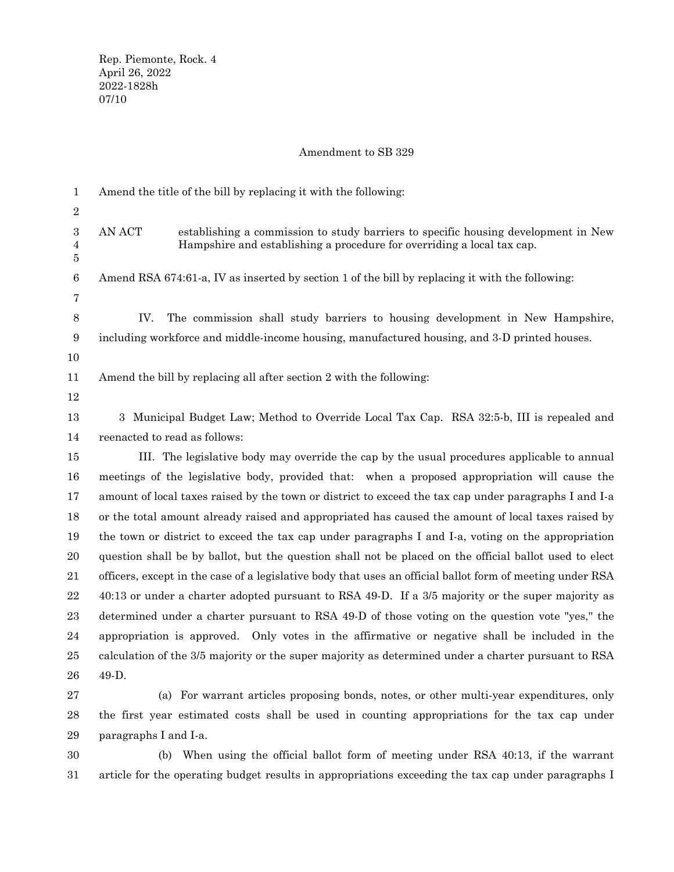# Amendment to SB 329

|                  | Amend the title of the bill by replacing it with the following:                                                                                                        |
|------------------|------------------------------------------------------------------------------------------------------------------------------------------------------------------------|
| 1                |                                                                                                                                                                        |
| $\sqrt{2}$       |                                                                                                                                                                        |
| $\boldsymbol{3}$ | AN ACT<br>establishing a commission to study barriers to specific housing development in New<br>Hampshire and establishing a procedure for overriding a local tax cap. |
| 4<br>5           |                                                                                                                                                                        |
| 6                | Amend RSA 674:61-a, IV as inserted by section 1 of the bill by replacing it with the following:                                                                        |
| $\overline{7}$   |                                                                                                                                                                        |
| 8                | IV.<br>The commission shall study barriers to housing development in New Hampshire,                                                                                    |
| 9                | including workforce and middle-income housing, manufactured housing, and 3-D printed houses.                                                                           |
| 10               |                                                                                                                                                                        |
|                  |                                                                                                                                                                        |
| 11               | Amend the bill by replacing all after section 2 with the following:                                                                                                    |
| 12               |                                                                                                                                                                        |
| 13               | 3 Municipal Budget Law; Method to Override Local Tax Cap. RSA 32:5-b, III is repealed and                                                                              |
| 14               | reenacted to read as follows:                                                                                                                                          |
| 15               | III. The legislative body may override the cap by the usual procedures applicable to annual                                                                            |
| 16               | meetings of the legislative body, provided that: when a proposed appropriation will cause the                                                                          |
| 17               | amount of local taxes raised by the town or district to exceed the tax cap under paragraphs I and I-a                                                                  |
| 18               | or the total amount already raised and appropriated has caused the amount of local taxes raised by                                                                     |
| 19               | the town or district to exceed the tax cap under paragraphs I and I-a, voting on the appropriation                                                                     |
| 20               | question shall be by ballot, but the question shall not be placed on the official ballot used to elect                                                                 |
| 21               | officers, except in the case of a legislative body that uses an official ballot form of meeting under RSA                                                              |
| $22\,$           | 40:13 or under a charter adopted pursuant to RSA 49-D. If a 3/5 majority or the super majority as                                                                      |
| 23               | determined under a charter pursuant to RSA 49-D of those voting on the question vote "yes," the                                                                        |
| 24               | appropriation is approved. Only votes in the affirmative or negative shall be included in the                                                                          |
| 25               | calculation of the 3/5 majority or the super majority as determined under a charter pursuant to RSA                                                                    |
| 26               | 49-D.                                                                                                                                                                  |
| $\sqrt{27}$      | (a) For warrant articles proposing bonds, notes, or other multi-year expenditures, only                                                                                |
| 28               | the first year estimated costs shall be used in counting appropriations for the tax cap under                                                                          |
| 29               | paragraphs I and I-a.                                                                                                                                                  |
| 30               | When using the official ballot form of meeting under RSA 40:13, if the warrant<br>(b)                                                                                  |

article for the operating budget results in appropriations exceeding the tax cap under paragraphs I 31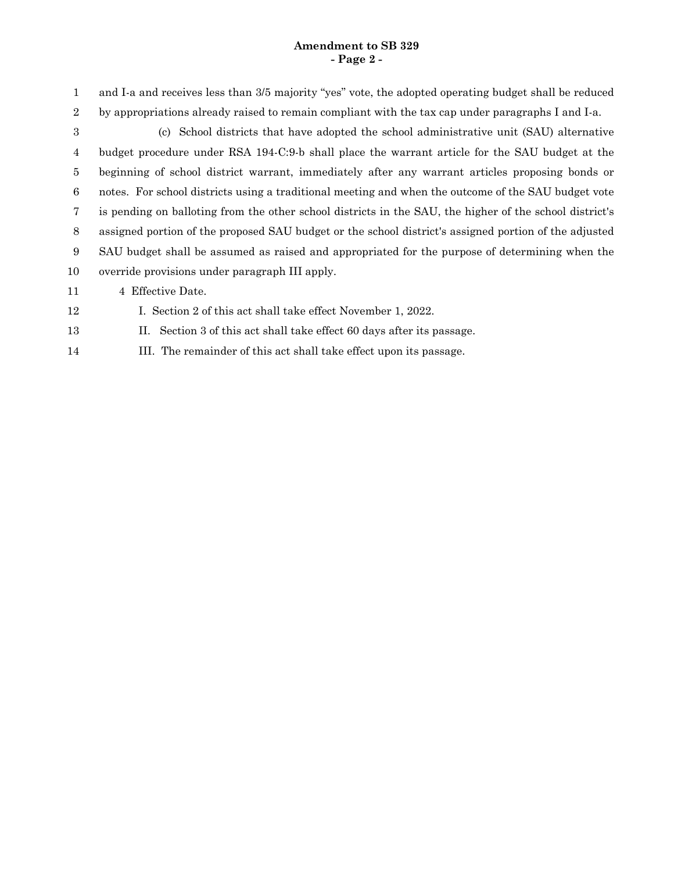#### **Amendment to SB 329 - Page 2 -**

and I-a and receives less than 3/5 majority "yes" vote, the adopted operating budget shall be reduced by appropriations already raised to remain compliant with the tax cap under paragraphs I and I-a. 1 2

(c) School districts that have adopted the school administrative unit (SAU) alternative budget procedure under RSA 194-C:9-b shall place the warrant article for the SAU budget at the beginning of school district warrant, immediately after any warrant articles proposing bonds or notes. For school districts using a traditional meeting and when the outcome of the SAU budget vote is pending on balloting from the other school districts in the SAU, the higher of the school district's assigned portion of the proposed SAU budget or the school district's assigned portion of the adjusted SAU budget shall be assumed as raised and appropriated for the purpose of determining when the override provisions under paragraph III apply. 3 4 5 6 7 8 9 10

4 Effective Date. 11

I. Section 2 of this act shall take effect November 1, 2022. 12

- II. Section 3 of this act shall take effect 60 days after its passage. 13
- III. The remainder of this act shall take effect upon its passage. 14